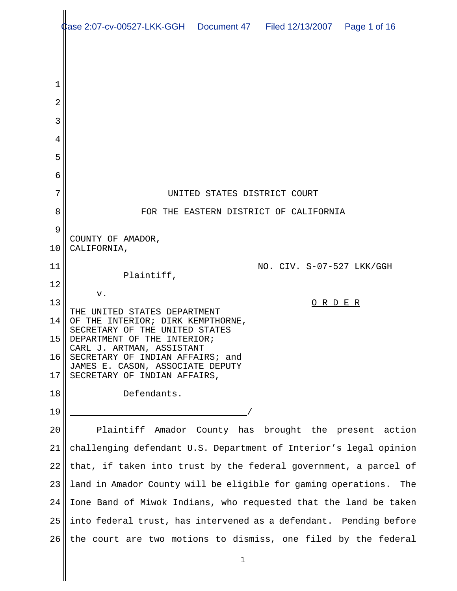|    | ase 2:07-cv-00527-LKK-GGH  Document 47  Filed 12/13/2007  Page 1 of 16 |
|----|------------------------------------------------------------------------|
|    |                                                                        |
|    |                                                                        |
| 1  |                                                                        |
| 2  |                                                                        |
| 3  |                                                                        |
| 4  |                                                                        |
| 5  |                                                                        |
| 6  |                                                                        |
| 7  | UNITED STATES DISTRICT COURT                                           |
| 8  | FOR THE EASTERN DISTRICT OF CALIFORNIA                                 |
| 9  | COUNTY OF AMADOR,                                                      |
| 10 | CALIFORNIA,                                                            |
| 11 | NO. CIV. S-07-527 LKK/GGH<br>Plaintiff,                                |
| 12 | v.                                                                     |
| 13 | O R D E R<br>THE UNITED STATES DEPARTMENT                              |
| 14 | OF THE INTERIOR; DIRK KEMPTHORNE,<br>SECRETARY OF THE UNITED STATES    |
| 15 | DEPARTMENT OF THE INTERIOR;<br>CARL J. ARTMAN, ASSISTANT               |
| 16 | SECRETARY OF INDIAN AFFAIRS; and<br>JAMES E. CASON, ASSOCIATE DEPUTY   |
| 17 | SECRETARY OF INDIAN AFFAIRS,                                           |
| 18 | Defendants.                                                            |
| 19 |                                                                        |
| 20 | Plaintiff Amador County has brought the present action                 |
| 21 | challenging defendant U.S. Department of Interior's legal opinion      |
| 22 | that, if taken into trust by the federal government, a parcel of       |
| 23 | land in Amador County will be eligible for gaming operations.<br>The   |
| 24 | Ione Band of Miwok Indians, who requested that the land be taken       |
| 25 | into federal trust, has intervened as a defendant. Pending before      |
| 26 | the court are two motions to dismiss, one filed by the federal         |

║

 $\parallel$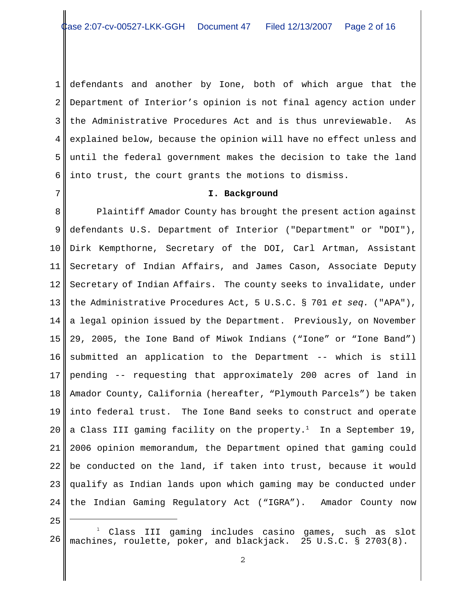1 2 3 4 5 6 defendants and another by Ione, both of which argue that the Department of Interior's opinion is not final agency action under the Administrative Procedures Act and is thus unreviewable. As explained below, because the opinion will have no effect unless and until the federal government makes the decision to take the land into trust, the court grants the motions to dismiss.

### **I. Background**

8 9 10 11 12 13 14 15 16 17 18 19 20 21 22 23 24 Plaintiff Amador County has brought the present action against defendants U.S. Department of Interior ("Department" or "DOI"), Dirk Kempthorne, Secretary of the DOI, Carl Artman, Assistant Secretary of Indian Affairs, and James Cason, Associate Deputy Secretary of Indian Affairs. The county seeks to invalidate, under the Administrative Procedures Act, 5 U.S.C. § 701 *et seq.* ("APA"), a legal opinion issued by the Department. Previously, on November 29, 2005, the Ione Band of Miwok Indians ("Ione" or "Ione Band") submitted an application to the Department -- which is still pending -- requesting that approximately 200 acres of land in Amador County, California (hereafter, "Plymouth Parcels") be taken into federal trust. The Ione Band seeks to construct and operate a Class III gaming facility on the property.<sup>1</sup> In a September 19, 2006 opinion memorandum, the Department opined that gaming could be conducted on the land, if taken into trust, because it would qualify as Indian lands upon which gaming may be conducted under the Indian Gaming Regulatory Act ("IGRA"). Amador County now

25

<sup>26</sup> 1 Class III gaming includes casino games, such as slot machines, roulette, poker, and blackjack. 25 U.S.C. § 2703(8).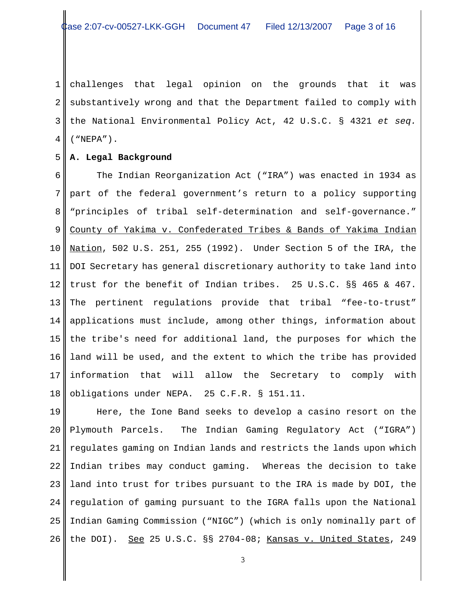1 2 3 4 challenges that legal opinion on the grounds that it was substantively wrong and that the Department failed to comply with the National Environmental Policy Act, 42 U.S.C. § 4321 *et seq.* ("NEPA").

#### 5 **A. Legal Background**

6 7 8 9 10 11 12 13 14 15 16 17 18 The Indian Reorganization Act ("IRA") was enacted in 1934 as part of the federal government's return to a policy supporting "principles of tribal self-determination and self-governance." County of Yakima v. Confederated Tribes & Bands of Yakima Indian Nation, 502 U.S. 251, 255 (1992). Under Section 5 of the IRA, the DOI Secretary has general discretionary authority to take land into trust for the benefit of Indian tribes. 25 U.S.C. §§ 465 & 467. The pertinent regulations provide that tribal "fee-to-trust" applications must include, among other things, information about the tribe's need for additional land, the purposes for which the land will be used, and the extent to which the tribe has provided information that will allow the Secretary to comply with obligations under NEPA. 25 C.F.R. § 151.11.

19 20 21 22 23 24 25 26 Here, the Ione Band seeks to develop a casino resort on the Plymouth Parcels. The Indian Gaming Regulatory Act ("IGRA") regulates gaming on Indian lands and restricts the lands upon which Indian tribes may conduct gaming. Whereas the decision to take land into trust for tribes pursuant to the IRA is made by DOI, the regulation of gaming pursuant to the IGRA falls upon the National Indian Gaming Commission ("NIGC") (which is only nominally part of the DOI). See 25 U.S.C. §§ 2704-08; Kansas v. United States, 249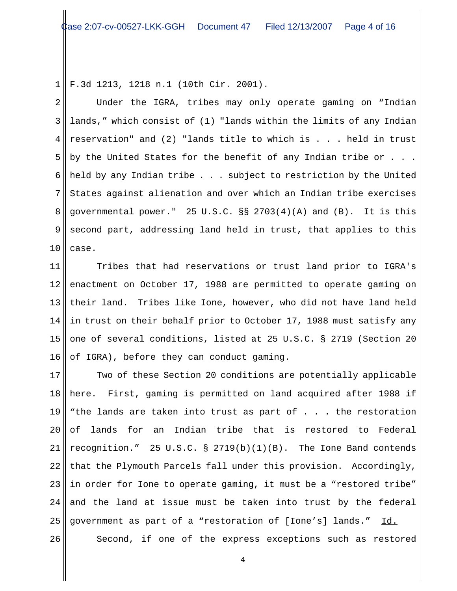1 F.3d 1213, 1218 n.1 (10th Cir. 2001).

2 3 4 5 6 7 8 9 10 Under the IGRA, tribes may only operate gaming on "Indian lands," which consist of (1) "lands within the limits of any Indian reservation" and (2) "lands title to which is . . . held in trust by the United States for the benefit of any Indian tribe or . . . held by any Indian tribe . . . subject to restriction by the United States against alienation and over which an Indian tribe exercises governmental power." 25 U.S.C. §§ 2703(4)(A) and (B). It is this second part, addressing land held in trust, that applies to this case.

11 12 13 14 15 16 Tribes that had reservations or trust land prior to IGRA's enactment on October 17, 1988 are permitted to operate gaming on their land. Tribes like Ione, however, who did not have land held in trust on their behalf prior to October 17, 1988 must satisfy any one of several conditions, listed at 25 U.S.C. § 2719 (Section 20 of IGRA), before they can conduct gaming.

17 18 19 20 21 22 23 24 25 Two of these Section 20 conditions are potentially applicable here. First, gaming is permitted on land acquired after 1988 if "the lands are taken into trust as part of . . . the restoration of lands for an Indian tribe that is restored to Federal recognition." 25 U.S.C. § 2719(b)(1)(B). The Ione Band contends that the Plymouth Parcels fall under this provision. Accordingly, in order for Ione to operate gaming, it must be a "restored tribe" and the land at issue must be taken into trust by the federal government as part of a "restoration of [Ione's] lands." Id.

Second, if one of the express exceptions such as restored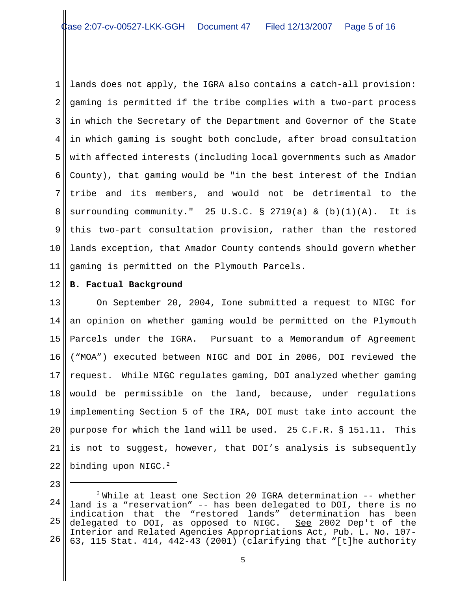1 2 3 4 5 6 7 8 9 10 11 lands does not apply, the IGRA also contains a catch-all provision: gaming is permitted if the tribe complies with a two-part process in which the Secretary of the Department and Governor of the State in which gaming is sought both conclude, after broad consultation with affected interests (including local governments such as Amador County), that gaming would be "in the best interest of the Indian tribe and its members, and would not be detrimental to the surrounding community." 25 U.S.C. § 2719(a) & (b)(1)(A). It is this two-part consultation provision, rather than the restored lands exception, that Amador County contends should govern whether gaming is permitted on the Plymouth Parcels.

12 **B. Factual Background**

13 14 15 16 17 18 19 20 21 22 On September 20, 2004, Ione submitted a request to NIGC for an opinion on whether gaming would be permitted on the Plymouth Parcels under the IGRA. Pursuant to a Memorandum of Agreement ("MOA") executed between NIGC and DOI in 2006, DOI reviewed the request. While NIGC regulates gaming, DOI analyzed whether gaming would be permissible on the land, because, under regulations implementing Section 5 of the IRA, DOI must take into account the purpose for which the land will be used. 25 C.F.R. § 151.11. This is not to suggest, however, that DOI's analysis is subsequently binding upon  $NIGC.<sup>2</sup>$ 

<sup>24</sup> 25 26  $2^2$  While at least one Section 20 IGRA determination  $-$ - whether land is a "reservation" -- has been delegated to DOI, there is no indication that the "restored lands" determination has been delegated to DOI, as opposed to NIGC. See 2002 Dep't of the Interior and Related Agencies Appropriations Act, Pub. L. No. 107- 63, 115 Stat. 414, 442-43 (2001) (clarifying that "[t]he authority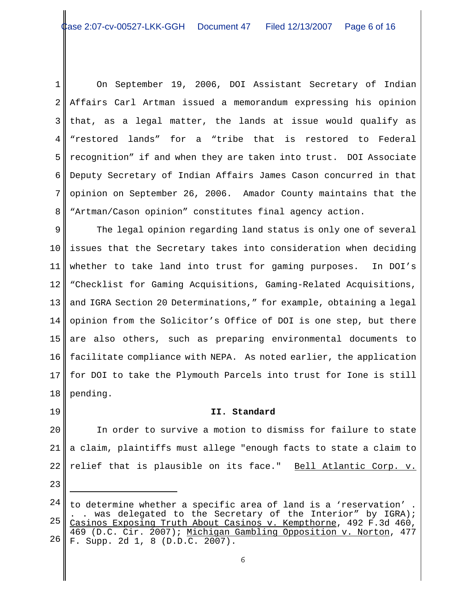1 2 3 4 5 6 7 8 On September 19, 2006, DOI Assistant Secretary of Indian Affairs Carl Artman issued a memorandum expressing his opinion that, as a legal matter, the lands at issue would qualify as "restored lands" for a "tribe that is restored to Federal recognition" if and when they are taken into trust. DOI Associate Deputy Secretary of Indian Affairs James Cason concurred in that opinion on September 26, 2006. Amador County maintains that the "Artman/Cason opinion" constitutes final agency action.

9 10 11 12 13 14 15 16 17 18 The legal opinion regarding land status is only one of several issues that the Secretary takes into consideration when deciding whether to take land into trust for gaming purposes. In DOI's "Checklist for Gaming Acquisitions, Gaming-Related Acquisitions, and IGRA Section 20 Determinations," for example, obtaining a legal opinion from the Solicitor's Office of DOI is one step, but there are also others, such as preparing environmental documents to facilitate compliance with NEPA. As noted earlier, the application for DOI to take the Plymouth Parcels into trust for Ione is still pending.

## **II. Standard**

20 21

19

22 In order to survive a motion to dismiss for failure to state a claim, plaintiffs must allege "enough facts to state a claim to relief that is plausible on its face." Bell Atlantic Corp. v.

<sup>24</sup> 25 26 to determine whether a specific area of land is a 'reservation' . . was delegated to the Secretary of the Interior" by IGRA); Casinos Exposing Truth About Casinos v. Kempthorne, 492 F.3d 460, 469 (D.C. Cir. 2007); Michigan Gambling Opposition v. Norton, 477 F. Supp. 2d 1, 8 (D.D.C. 2007).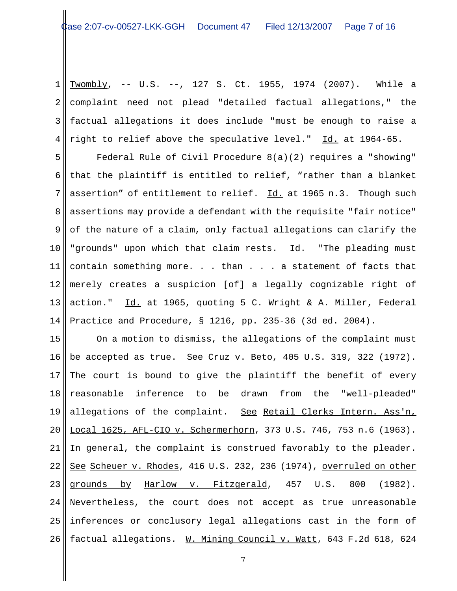1 2 3 4 Twombly, -- U.S. --, 127 S. Ct. 1955, 1974 (2007). While a complaint need not plead "detailed factual allegations," the factual allegations it does include "must be enough to raise a right to relief above the speculative level." Id. at 1964-65.

5 6 7 8 9 10 11 12 13 14 Federal Rule of Civil Procedure 8(a)(2) requires a "showing" that the plaintiff is entitled to relief, "rather than a blanket assertion" of entitlement to relief. Id. at 1965 n.3. Though such assertions may provide a defendant with the requisite "fair notice" of the nature of a claim, only factual allegations can clarify the "grounds" upon which that claim rests. Id. "The pleading must contain something more. . . than . . . a statement of facts that merely creates a suspicion [of] a legally cognizable right of action." Id. at 1965, quoting 5 C. Wright & A. Miller, Federal Practice and Procedure, § 1216, pp. 235-36 (3d ed. 2004).

15 16 17 18 19 20 21 22 23 24 25 26 On a motion to dismiss, the allegations of the complaint must be accepted as true. See Cruz v. Beto, 405 U.S. 319, 322 (1972). The court is bound to give the plaintiff the benefit of every reasonable inference to be drawn from the "well-pleaded" allegations of the complaint. See Retail Clerks Intern. Ass'n, Local 1625, AFL-CIO v. Schermerhorn, 373 U.S. 746, 753 n.6 (1963). In general, the complaint is construed favorably to the pleader. See Scheuer v. Rhodes, 416 U.S. 232, 236 (1974), overruled on other grounds by Harlow v. Fitzgerald, 457 U.S. 800 (1982). Nevertheless, the court does not accept as true unreasonable inferences or conclusory legal allegations cast in the form of factual allegations. W. Mining Council v. Watt, 643 F.2d 618, 624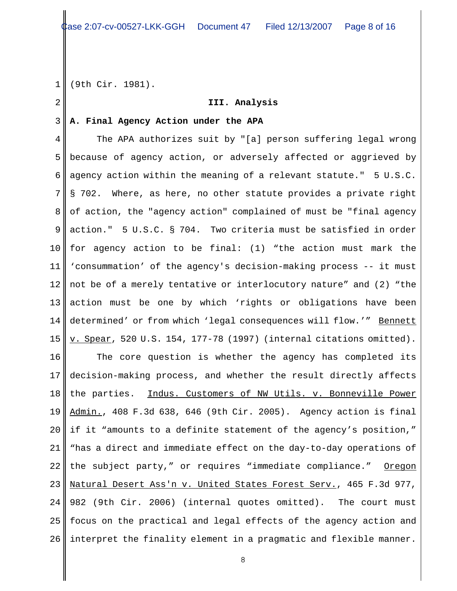1 (9th Cir. 1981).

2

## **III. Analysis**

### 3 **A. Final Agency Action under the APA**

4 5 6 7 8 9 10 11 12 13 14 15 The APA authorizes suit by "[a] person suffering legal wrong because of agency action, or adversely affected or aggrieved by agency action within the meaning of a relevant statute." 5 U.S.C. § 702. Where, as here, no other statute provides a private right of action, the "agency action" complained of must be "final agency action." 5 U.S.C. § 704. Two criteria must be satisfied in order for agency action to be final: (1) "the action must mark the 'consummation' of the agency's decision-making process -- it must not be of a merely tentative or interlocutory nature" and (2) "the action must be one by which 'rights or obligations have been determined' or from which 'legal consequences will flow.'" Bennett v. Spear, 520 U.S. 154, 177-78 (1997) (internal citations omitted).

16 17 18 19 20 21 22 23 24 25 26 The core question is whether the agency has completed its decision-making process, and whether the result directly affects the parties. Indus. Customers of NW Utils. v. Bonneville Power Admin., 408 F.3d 638, 646 (9th Cir. 2005). Agency action is final if it "amounts to a definite statement of the agency's position," "has a direct and immediate effect on the day-to-day operations of the subject party," or requires "immediate compliance." Oregon Natural Desert Ass'n v. United States Forest Serv., 465 F.3d 977, 982 (9th Cir. 2006) (internal quotes omitted). The court must focus on the practical and legal effects of the agency action and interpret the finality element in a pragmatic and flexible manner.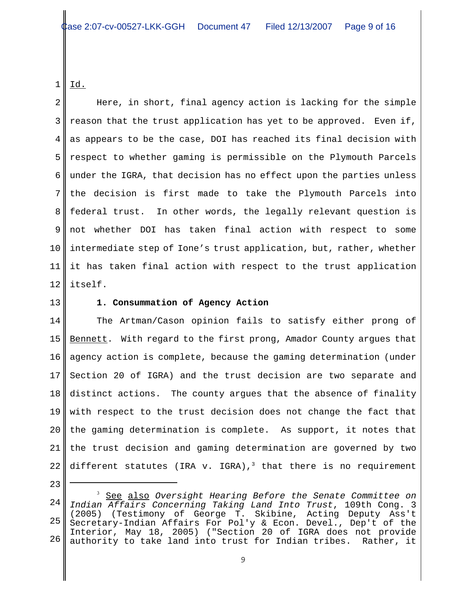1 <u>Id.</u>

2 3 4 5 6 7 8 9 10 11 12 Here, in short, final agency action is lacking for the simple reason that the trust application has yet to be approved. Even if, as appears to be the case, DOI has reached its final decision with respect to whether gaming is permissible on the Plymouth Parcels under the IGRA, that decision has no effect upon the parties unless the decision is first made to take the Plymouth Parcels into federal trust. In other words, the legally relevant question is not whether DOI has taken final action with respect to some intermediate step of Ione's trust application, but, rather, whether it has taken final action with respect to the trust application itself.

13

# **1. Consummation of Agency Action**

14 15 16 17 18 19 20 21 22 The Artman/Cason opinion fails to satisfy either prong of Bennett. With regard to the first prong, Amador County argues that agency action is complete, because the gaming determination (under Section 20 of IGRA) and the trust decision are two separate and distinct actions. The county argues that the absence of finality with respect to the trust decision does not change the fact that the gaming determination is complete. As support, it notes that the trust decision and gaming determination are governed by two different statutes (IRA v. IGRA),<sup>3</sup> that there is no requirement

<sup>24</sup> 25 26 <sup>3</sup> See also *Oversight Hearing Before the Senate Committee on Indian Affairs Concerning Taking Land Into Trust*, 109th Cong. 3 (2005) (Testimony of George T. Skibine, Acting Deputy Ass't Secretary-Indian Affairs For Pol'y & Econ. Devel., Dep't of the Interior, May 18, 2005) ("Section 20 of IGRA does not provide authority to take land into trust for Indian tribes. Rather, it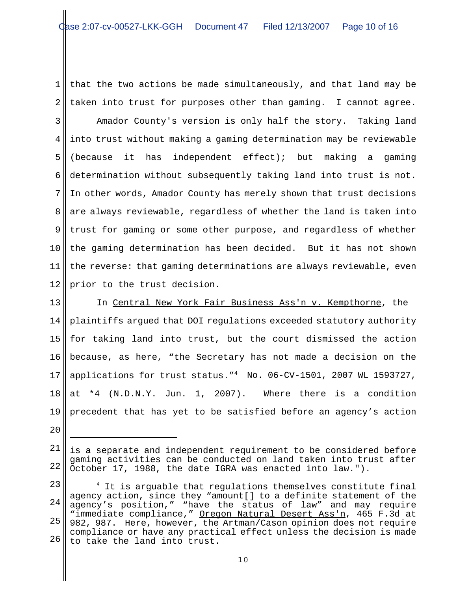1 2 that the two actions be made simultaneously, and that land may be taken into trust for purposes other than gaming. I cannot agree.

3 4 5 6 7 8 9 10 11 12 Amador County's version is only half the story. Taking land into trust without making a gaming determination may be reviewable (because it has independent effect); but making a gaming determination without subsequently taking land into trust is not. In other words, Amador County has merely shown that trust decisions are always reviewable, regardless of whether the land is taken into trust for gaming or some other purpose, and regardless of whether the gaming determination has been decided. But it has not shown the reverse: that gaming determinations are always reviewable, even prior to the trust decision.

13 14 15 16 17 18 19 In Central New York Fair Business Ass'n v. Kempthorne, the plaintiffs argued that DOI regulations exceeded statutory authority for taking land into trust, but the court dismissed the action because, as here, "the Secretary has not made a decision on the applications for trust status."4 No. 06-CV-1501, 2007 WL 1593727, at \*4 (N.D.N.Y. Jun. 1, 2007). Where there is a condition precedent that has yet to be satisfied before an agency's action

<sup>21</sup> 22 is a separate and independent requirement to be considered before gaming activities can be conducted on land taken into trust after October 17, 1988, the date IGRA was enacted into law.").

<sup>23</sup> 24 25 26  $^4$  It is arguable that regulations themselves constitute final agency action, since they "amount[] to a definite statement of the agency's position," "have the status of law" and may require "immediate compliance," Oregon Natural Desert Ass'n, 465 F.3d at 982, 987. Here, however, the Artman/Cason opinion does not require compliance or have any practical effect unless the decision is made to take the land into trust.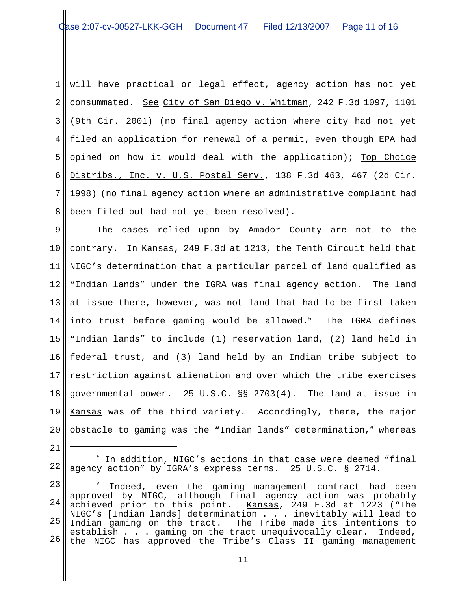1 2 3 4 5 6 7 8 will have practical or legal effect, agency action has not yet consummated. See City of San Diego v. Whitman, 242 F.3d 1097, 1101 (9th Cir. 2001) (no final agency action where city had not yet filed an application for renewal of a permit, even though EPA had opined on how it would deal with the application); Top Choice Distribs., Inc. v. U.S. Postal Serv., 138 F.3d 463, 467 (2d Cir. 1998) (no final agency action where an administrative complaint had been filed but had not yet been resolved).

9 10 11 12 13 14 15 16 17 18 19 20 The cases relied upon by Amador County are not to the contrary. In Kansas, 249 F.3d at 1213, the Tenth Circuit held that NIGC's determination that a particular parcel of land qualified as "Indian lands" under the IGRA was final agency action. The land at issue there, however, was not land that had to be first taken into trust before gaming would be allowed. $5$  The IGRA defines "Indian lands" to include (1) reservation land, (2) land held in federal trust, and (3) land held by an Indian tribe subject to restriction against alienation and over which the tribe exercises governmental power. 25 U.S.C. §§ 2703(4). The land at issue in Kansas was of the third variety. Accordingly, there, the major obstacle to gaming was the "Indian lands" determination, $6$  whereas

<sup>22</sup> <sup>5</sup> In addition, NIGC's actions in that case were deemed "final agency action" by IGRA's express terms. 25 U.S.C. § 2714.

<sup>23</sup> 24 25 26 6 Indeed, even the gaming management contract had been approved by NIGC, although final agency action was probably achieved prior to this point. Kansas, 249 F.3d at 1223 ("The NIGC's [Indian lands] determination . . . inevitably will lead to Indian gaming on the tract. The Tribe made its intentions to establish . . . gaming on the tract unequivocally clear. Indeed, the NIGC has approved the Tribe's Class II gaming management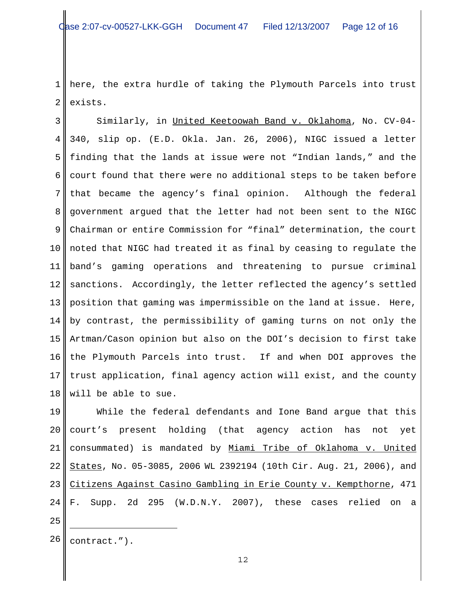1 2 here, the extra hurdle of taking the Plymouth Parcels into trust exists.

3 4 5 6 7 8 9 10 11 12 13 14 15 16 17 18 Similarly, in United Keetoowah Band v. Oklahoma, No. CV-04- 340, slip op. (E.D. Okla. Jan. 26, 2006), NIGC issued a letter finding that the lands at issue were not "Indian lands," and the court found that there were no additional steps to be taken before that became the agency's final opinion. Although the federal government argued that the letter had not been sent to the NIGC Chairman or entire Commission for "final" determination, the court noted that NIGC had treated it as final by ceasing to regulate the band's gaming operations and threatening to pursue criminal sanctions. Accordingly, the letter reflected the agency's settled position that gaming was impermissible on the land at issue. Here, by contrast, the permissibility of gaming turns on not only the Artman/Cason opinion but also on the DOI's decision to first take the Plymouth Parcels into trust. If and when DOI approves the trust application, final agency action will exist, and the county will be able to sue.

19 20 21 22 23 24 While the federal defendants and Ione Band argue that this court's present holding (that agency action has not yet consummated) is mandated by Miami Tribe of Oklahoma v. United States, No. 05-3085, 2006 WL 2392194 (10th Cir. Aug. 21, 2006), and Citizens Against Casino Gambling in Erie County v. Kempthorne, 471 F. Supp. 2d 295 (W.D.N.Y. 2007), these cases relied on a

- 25
- $26$  contract.").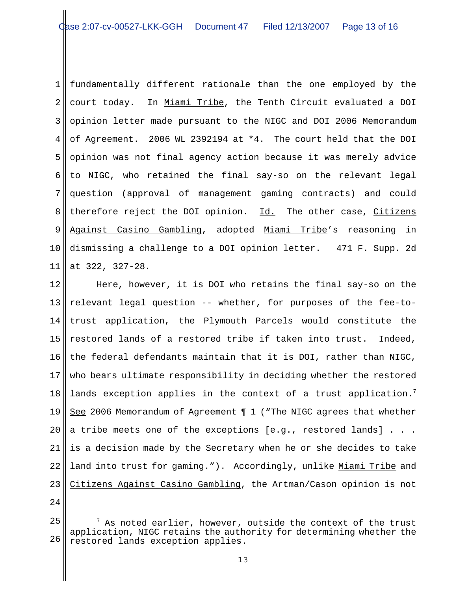1 2 3 4 5 6 7 8 9 10 11 fundamentally different rationale than the one employed by the court today. In Miami Tribe, the Tenth Circuit evaluated a DOI opinion letter made pursuant to the NIGC and DOI 2006 Memorandum of Agreement. 2006 WL 2392194 at \*4. The court held that the DOI opinion was not final agency action because it was merely advice to NIGC, who retained the final say-so on the relevant legal question (approval of management gaming contracts) and could therefore reject the DOI opinion. Id. The other case, Citizens Against Casino Gambling, adopted Miami Tribe's reasoning in dismissing a challenge to a DOI opinion letter. 471 F. Supp. 2d at 322, 327-28.

12 13 14 15 16 17 18 19 20 21 22 23 Here, however, it is DOI who retains the final say-so on the relevant legal question -- whether, for purposes of the fee-totrust application, the Plymouth Parcels would constitute the restored lands of a restored tribe if taken into trust. Indeed, the federal defendants maintain that it is DOI, rather than NIGC, who bears ultimate responsibility in deciding whether the restored lands exception applies in the context of a trust application.<sup>7</sup> See 2006 Memorandum of Agreement ¶ 1 ("The NIGC agrees that whether a tribe meets one of the exceptions [e.g., restored lands] . . . is a decision made by the Secretary when he or she decides to take land into trust for gaming."). Accordingly, unlike Miami Tribe and Citizens Against Casino Gambling, the Artman/Cason opinion is not

<sup>25</sup> 26  $^7$  As noted earlier, however, outside the context of the trust application, NIGC retains the authority for determining whether the restored lands exception applies.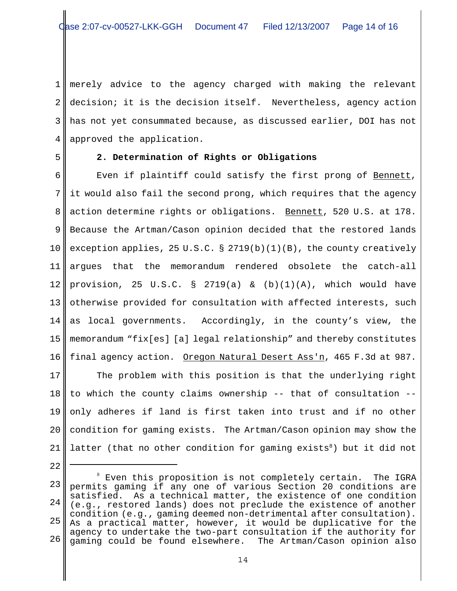1 2 3 4 merely advice to the agency charged with making the relevant decision; it is the decision itself. Nevertheless, agency action has not yet consummated because, as discussed earlier, DOI has not approved the application.

5

# **2. Determination of Rights or Obligations**

6 7 8 9 10 11 12 13 14 15 16 Even if plaintiff could satisfy the first prong of Bennett, it would also fail the second prong, which requires that the agency action determine rights or obligations. Bennett, 520 U.S. at 178. Because the Artman/Cason opinion decided that the restored lands exception applies, 25 U.S.C. § 2719(b)(1)(B), the county creatively argues that the memorandum rendered obsolete the catch-all provision, 25 U.S.C. § 2719(a) &  $(b)(1)(A)$ , which would have otherwise provided for consultation with affected interests, such as local governments. Accordingly, in the county's view, the memorandum "fix[es] [a] legal relationship" and thereby constitutes final agency action. Oregon Natural Desert Ass'n, 465 F.3d at 987.

17 18 19 20 21 The problem with this position is that the underlying right to which the county claims ownership -- that of consultation - only adheres if land is first taken into trust and if no other condition for gaming exists. The Artman/Cason opinion may show the latter (that no other condition for gaming exists<sup>8</sup>) but it did not

<sup>22</sup>

<sup>23</sup> 24 25 26  $^8$  Even this proposition is not completely certain. The IGRA permits gaming if any one of various Section 20 conditions are satisfied. As a technical matter, the existence of one condition (e.g., restored lands) does not preclude the existence of another condition (e.g., gaming deemed non-detrimental after consultation). As a practical matter, however, it would be duplicative for the agency to undertake the two-part consultation if the authority for gaming could be found elsewhere. The Artman/Cason opinion also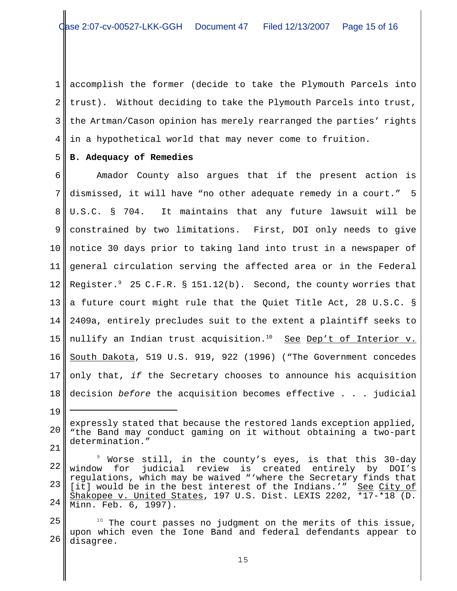1 2 3 4 accomplish the former (decide to take the Plymouth Parcels into trust). Without deciding to take the Plymouth Parcels into trust, the Artman/Cason opinion has merely rearranged the parties' rights in a hypothetical world that may never come to fruition.

#### 5 **B. Adequacy of Remedies**

19

6 7 8 9 10 11 12 13 14 15 16 17 18 Amador County also argues that if the present action is dismissed, it will have "no other adequate remedy in a court." 5 U.S.C. § 704. It maintains that any future lawsuit will be constrained by two limitations. First, DOI only needs to give notice 30 days prior to taking land into trust in a newspaper of general circulation serving the affected area or in the Federal Register. $^9$  25 C.F.R. § 151.12(b). Second, the county worries that a future court might rule that the Quiet Title Act, 28 U.S.C. § 2409a, entirely precludes suit to the extent a plaintiff seeks to nullify an Indian trust acquisition.<sup>10</sup> See Dep't of Interior v. South Dakota, 519 U.S. 919, 922 (1996) ("The Government concedes only that, *if* the Secretary chooses to announce his acquisition decision *before* the acquisition becomes effective . . . judicial

<sup>20</sup> 21 expressly stated that because the restored lands exception applied, "the Band may conduct gaming on it without obtaining a two-part determination."

<sup>22</sup> 23 24 9 Worse still, in the county's eyes, is that this 30-day window for judicial review is created entirely by DOI's regulations, which may be waived "'where the Secretary finds that [it] would be in the best interest of the Indians.'" See City of Shakopee v. United States, 197 U.S. Dist. LEXIS 2202, \*17-\*18 (D. Minn. Feb. 6, 1997).

<sup>25</sup> 26  $10$  The court passes no judgment on the merits of this issue, upon which even the Ione Band and federal defendants appear to disagree.